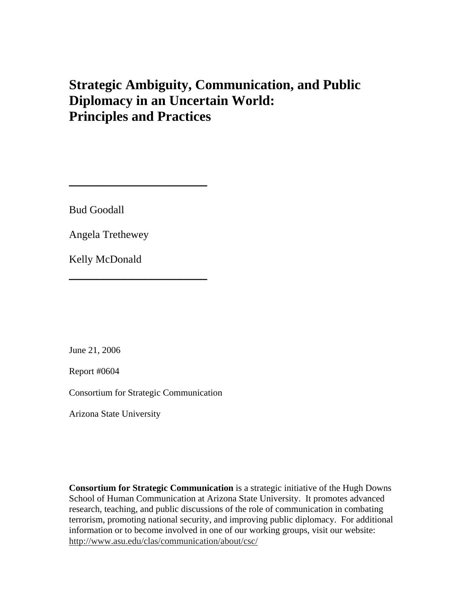# **Strategic Ambiguity, Communication, and Public Diplomacy in an Uncertain World: Principles and Practices**

Bud Goodall

Angela Trethewey

**\_\_\_\_\_\_\_\_\_\_\_\_\_\_\_\_\_\_\_\_**

**\_\_\_\_\_\_\_\_\_\_\_\_\_\_\_\_\_\_\_\_** 

Kelly McDonald

June 21, 2006

Report #0604

Consortium for Strategic Communication

Arizona State University

**Consortium for Strategic Communication** is a strategic initiative of the Hugh Downs School of Human Communication at Arizona State University. It promotes advanced research, teaching, and public discussions of the role of communication in combating terrorism, promoting national security, and improving public diplomacy. For additional information or to become involved in one of our working groups, visit our website: http://www.asu.edu/clas/communication/about/csc/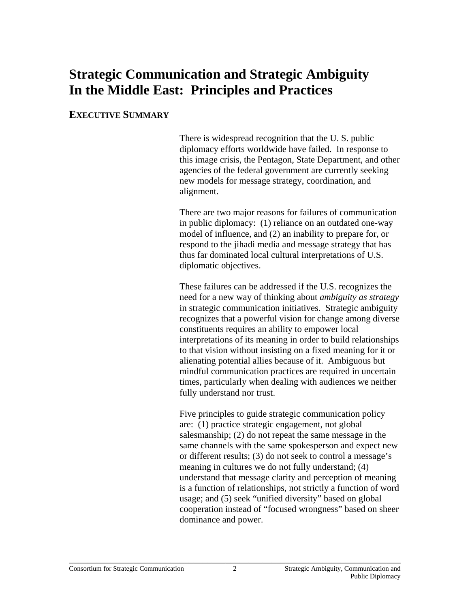# **Strategic Communication and Strategic Ambiguity In the Middle East: Principles and Practices**

#### **EXECUTIVE SUMMARY**

There is widespread recognition that the U. S. public diplomacy efforts worldwide have failed. In response to this image crisis, the Pentagon, State Department, and other agencies of the federal government are currently seeking new models for message strategy, coordination, and alignment.

There are two major reasons for failures of communication in public diplomacy: (1) reliance on an outdated one-way model of influence, and (2) an inability to prepare for, or respond to the jihadi media and message strategy that has thus far dominated local cultural interpretations of U.S. diplomatic objectives.

These failures can be addressed if the U.S. recognizes the need for a new way of thinking about *ambiguity as strategy* in strategic communication initiatives. Strategic ambiguity recognizes that a powerful vision for change among diverse constituents requires an ability to empower local interpretations of its meaning in order to build relationships to that vision without insisting on a fixed meaning for it or alienating potential allies because of it. Ambiguous but mindful communication practices are required in uncertain times, particularly when dealing with audiences we neither fully understand nor trust.

Five principles to guide strategic communication policy are: (1) practice strategic engagement, not global salesmanship; (2) do not repeat the same message in the same channels with the same spokesperson and expect new or different results; (3) do not seek to control a message's meaning in cultures we do not fully understand; (4) understand that message clarity and perception of meaning is a function of relationships, not strictly a function of word usage; and (5) seek "unified diversity" based on global cooperation instead of "focused wrongness" based on sheer dominance and power.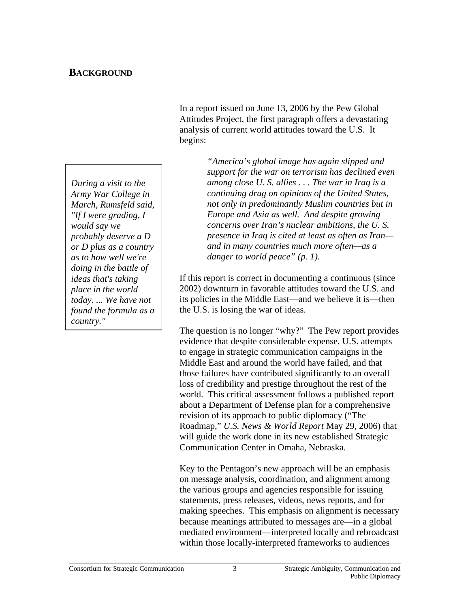#### **BACKGROUND**

*During a visit to the Army War College in March, Rumsfeld said, "If I were grading, I would say we probably deserve a D or D plus as a country as to how well we're doing in the battle of ideas that's taking place in the world today. ... We have not found the formula as a country."* 

In a report issued on June 13, 2006 by the Pew Global Attitudes Project, the first paragraph offers a devastating analysis of current world attitudes toward the U.S. It begins:

> *"America's global image has again slipped and support for the war on terrorism has declined even among close U. S. allies . . . The war in Iraq is a continuing drag on opinions of the United States, not only in predominantly Muslim countries but in Europe and Asia as well. And despite growing concerns over Iran's nuclear ambitions, the U. S. presence in Iraq is cited at least as often as Iran and in many countries much more often—as a danger to world peace" (p. 1).*

If this report is correct in documenting a continuous (since 2002) downturn in favorable attitudes toward the U.S. and its policies in the Middle East—and we believe it is—then the U.S. is losing the war of ideas.

The question is no longer "why?" The Pew report provides evidence that despite considerable expense, U.S. attempts to engage in strategic communication campaigns in the Middle East and around the world have failed, and that those failures have contributed significantly to an overall loss of credibility and prestige throughout the rest of the world. This critical assessment follows a published report about a Department of Defense plan for a comprehensive revision of its approach to public diplomacy ("The Roadmap," *U.S. News & World Report* May 29, 2006) that will guide the work done in its new established Strategic Communication Center in Omaha, Nebraska.

Key to the Pentagon's new approach will be an emphasis on message analysis, coordination, and alignment among the various groups and agencies responsible for issuing statements, press releases, videos, news reports, and for making speeches. This emphasis on alignment is necessary because meanings attributed to messages are—in a global mediated environment—interpreted locally and rebroadcast within those locally-interpreted frameworks to audiences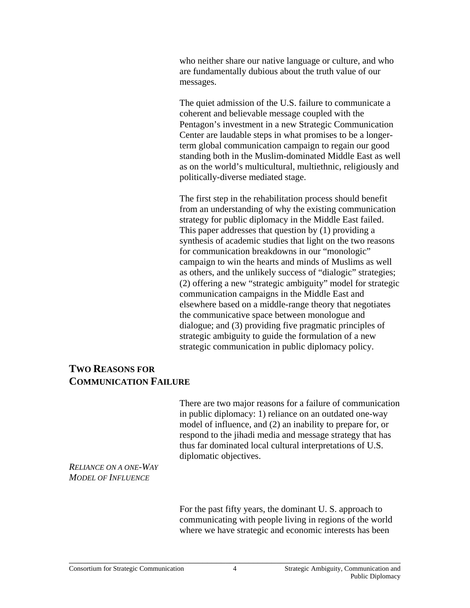who neither share our native language or culture, and who are fundamentally dubious about the truth value of our messages.

The quiet admission of the U.S. failure to communicate a coherent and believable message coupled with the Pentagon's investment in a new Strategic Communication Center are laudable steps in what promises to be a longerterm global communication campaign to regain our good standing both in the Muslim-dominated Middle East as well as on the world's multicultural, multiethnic, religiously and politically-diverse mediated stage.

The first step in the rehabilitation process should benefit from an understanding of why the existing communication strategy for public diplomacy in the Middle East failed. This paper addresses that question by (1) providing a synthesis of academic studies that light on the two reasons for communication breakdowns in our "monologic" campaign to win the hearts and minds of Muslims as well as others, and the unlikely success of "dialogic" strategies; (2) offering a new "strategic ambiguity" model for strategic communication campaigns in the Middle East and elsewhere based on a middle-range theory that negotiates the communicative space between monologue and dialogue; and (3) providing five pragmatic principles of strategic ambiguity to guide the formulation of a new strategic communication in public diplomacy policy.

### **TWO REASONS FOR COMMUNICATION FAILURE**

There are two major reasons for a failure of communication in public diplomacy: 1) reliance on an outdated one-way model of influence, and (2) an inability to prepare for, or respond to the jihadi media and message strategy that has thus far dominated local cultural interpretations of U.S. diplomatic objectives.

*RELIANCE ON A ONE-WAY MODEL OF INFLUENCE*

> For the past fifty years, the dominant U. S. approach to communicating with people living in regions of the world where we have strategic and economic interests has been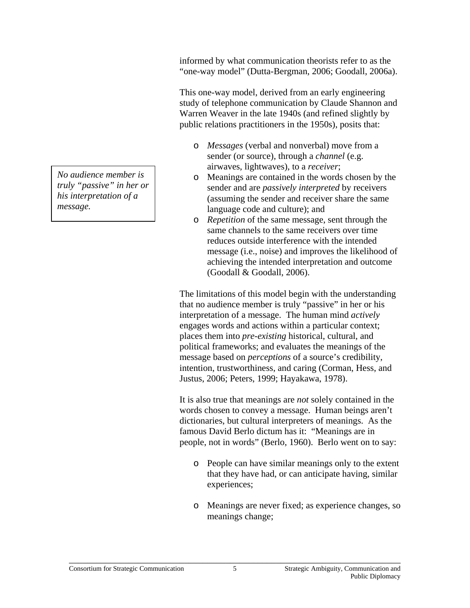informed by what communication theorists refer to as the "one-way model" (Dutta-Bergman, 2006; Goodall, 2006a).

This one-way model, derived from an early engineering study of telephone communication by Claude Shannon and Warren Weaver in the late 1940s (and refined slightly by public relations practitioners in the 1950s), posits that:

- o *Messages* (verbal and nonverbal) move from a sender (or source), through a *channel* (e.g. airwaves, lightwaves), to a *receiver*;
- o Meanings are contained in the words chosen by the sender and are *passively interpreted* by receivers (assuming the sender and receiver share the same language code and culture); and
- o *Repetition* of the same message, sent through the same channels to the same receivers over time reduces outside interference with the intended message (i.e., noise) and improves the likelihood of achieving the intended interpretation and outcome (Goodall & Goodall, 2006).

The limitations of this model begin with the understanding that no audience member is truly "passive" in her or his interpretation of a message. The human mind *actively* engages words and actions within a particular context; places them into *pre-existing* historical, cultural, and political frameworks; and evaluates the meanings of the message based on *perceptions* of a source's credibility, intention, trustworthiness, and caring (Corman, Hess, and Justus, 2006; Peters, 1999; Hayakawa, 1978).

It is also true that meanings are *not* solely contained in the words chosen to convey a message. Human beings aren't dictionaries, but cultural interpreters of meanings. As the famous David Berlo dictum has it: "Meanings are in people, not in words" (Berlo, 1960). Berlo went on to say:

- o People can have similar meanings only to the extent that they have had, or can anticipate having, similar experiences;
- o Meanings are never fixed; as experience changes, so meanings change;

*No audience member is truly "passive" in her or his interpretation of a message.*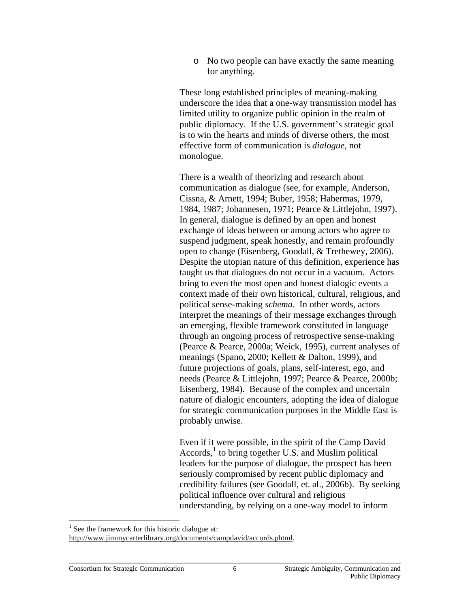o No two people can have exactly the same meaning for anything.

These long established principles of meaning-making underscore the idea that a one-way transmission model has limited utility to organize public opinion in the realm of public diplomacy. If the U.S. government's strategic goal is to win the hearts and minds of diverse others, the most effective form of communication is *dialogue*, not monologue.

There is a wealth of theorizing and research about communication as dialogue (see, for example, Anderson, Cissna, & Arnett, 1994; Buber, 1958; Habermas, 1979, 1984, 1987; Johannesen, 1971; Pearce & Littlejohn, 1997). In general, dialogue is defined by an open and honest exchange of ideas between or among actors who agree to suspend judgment, speak honestly, and remain profoundly open to change (Eisenberg, Goodall, & Trethewey, 2006). Despite the utopian nature of this definition, experience has taught us that dialogues do not occur in a vacuum. Actors bring to even the most open and honest dialogic events a context made of their own historical, cultural, religious, and political sense-making *schema*. In other words, actors interpret the meanings of their message exchanges through an emerging, flexible framework constituted in language through an ongoing process of retrospective sense-making (Pearce & Pearce, 2000a; Weick, 1995), current analyses of meanings (Spano, 2000; Kellett & Dalton, 1999), and future projections of goals, plans, self-interest, ego, and needs (Pearce & Littlejohn, 1997; Pearce & Pearce, 2000b; Eisenberg, 1984). Because of the complex and uncertain nature of dialogic encounters, adopting the idea of dialogue for strategic communication purposes in the Middle East is probably unwise.

Even if it were possible, in the spirit of the Camp David  $\text{According together U.S.}$  and Muslim political leaders for the purpose of dialogue, the prospect has been seriously compromised by recent public diplomacy and credibility failures (see Goodall, et. al., 2006b). By seeking political influence over cultural and religious understanding, by relying on a one-way model to inform

 $<sup>1</sup>$  See the framework for this historic dialogue at:</sup> http://www.jimmycarterlibrary.org/documents/campdavid/accords.phtml .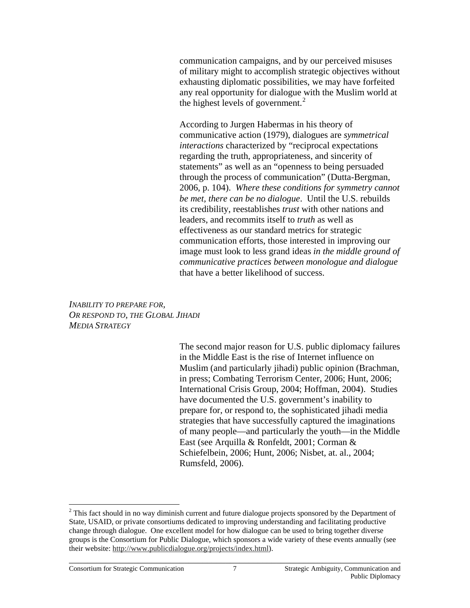communication campaigns, and by our perceived misuses of military might to accomplish strategic objectives without exhausting diplomatic possibilities, we may have forfeited any real opportunity for dialogue with the Muslim world at the highest levels of government. $\frac{2}{3}$ 

According to Jurgen Habermas in his theory of communicative action (1979), dialogues are *symmetrical interactions* characterized by "reciprocal expectations regarding the truth, appropriateness, and sincerity of statements" as well as an "openness to being persuaded through the process of communication" (Dutta-Bergman, 2006, p. 104). *Where these conditions for symmetry cannot be met, there can be no dialogue*. Until the U.S. rebuilds its credibility, reestablishes *trust* with other nations and leaders, and recommits itself to *truth* as well as effectiveness as our standard metrics for strategic communication efforts, those interested in improving our image must look to less grand ideas *in the middle ground of communicative practices between monologue and dialogue* that have a better likelihood of success.

*INABILITY TO PREPARE FOR, OR RESPOND TO, THE GLOBAL JIHADI MEDIA STRATEGY*

> The second major reason for U.S. public diplomacy failures in the Middle East is the rise of Internet influence on Muslim (and particularly jihadi) public opinion (Brachman, in press; Combating Terrorism Center, 2006; Hunt, 2006; International Crisis Group, 2004; Hoffman, 2004). Studies have documented the U.S. government's inability to prepare for, or respond to, the sophisticated jihadi media strategies that have successfully captured the imaginations of many people—and particularly the youth—in the Middle East (see Arquilla & Ronfeldt, 2001; Corman & Schiefelbein, 2006; Hunt, 2006; Nisbet, at. al., 2004; Rumsfeld, 2006).

 $2$  This fact should in no way diminish current and future dialogue projects sponsored by the Department of State, USAID, or private consortiums dedicated to improving understanding and facilitating productive change through dialogue. One excellent model for how dialogue can be used to bring together diverse groups is the Consortium for Public Dialogue, which sponsors a wide variety of these events annually (see their website: http://www.publicdialogue.org/projects/index.html).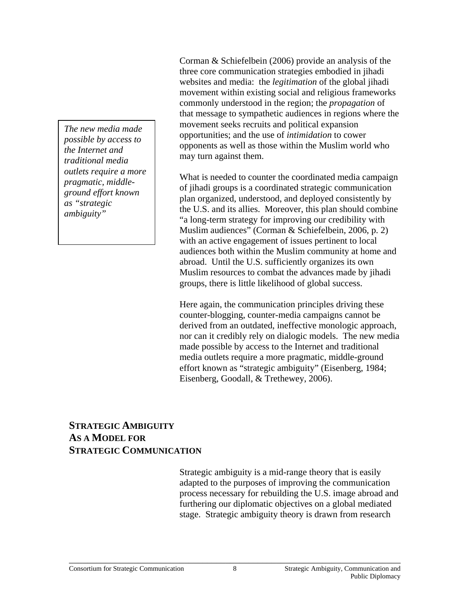*The new media made possible by access to the Internet and traditional media outlets require a more pragmatic, middleground effort known as "strategic ambiguity"* 

Corman & Schiefelbein (2006) provide an analysis of the three core communication strategies embodied in jihadi websites and media: the *legitimation* of the global jihadi movement within existing social and religious frameworks commonly understood in the region; the *propagation* of that message to sympathetic audiences in regions where the movement seeks recruits and political expansion opportunities; and the use of *intimidation* to cower opponents as well as those within the Muslim world who may turn against them.

What is needed to counter the coordinated media campaign of jihadi groups is a coordinated strategic communication plan organized, understood, and deployed consistently by the U.S. and its allies. Moreover, this plan should combine "a long-term strategy for improving our credibility with Muslim audiences" (Corman & Schiefelbein, 2006, p. 2) with an active engagement of issues pertinent to local audiences both within the Muslim community at home and abroad. Until the U.S. sufficiently organizes its own Muslim resources to combat the advances made by jihadi groups, there is little likelihood of global success.

Here again, the communication principles driving these counter-blogging, counter-media campaigns cannot be derived from an outdated, ineffective monologic approach, nor can it credibly rely on dialogic models. The new media made possible by access to the Internet and traditional media outlets require a more pragmatic, middle-ground effort known as "strategic ambiguity" (Eisenberg, 1984; Eisenberg, Goodall, & Trethewey, 2006).

## **STRATEGIC AMBIGUITY AS A MODEL FOR STRATEGIC COMMUNICATION**

Strategic ambiguity is a mid-range theory that is easily adapted to the purposes of improving the communication process necessary for rebuilding the U.S. image abroad and furthering our diplomatic objectives on a global mediated stage. Strategic ambiguity theory is drawn from research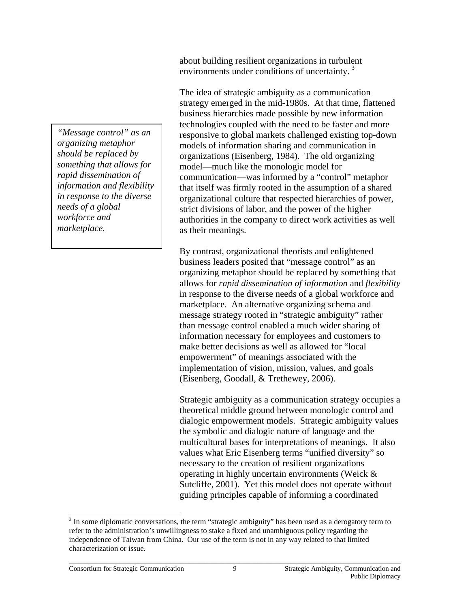*"Message control" as an organizing metaphor should be replaced by something that allows for rapid dissemination of information and flexibility in response to the diverse needs of a global workforce and marketplace.* 

about building resilient organizations in turbulent environments under conditions of uncertainty.<sup>3</sup>

The idea of strategic ambiguity as a communication strategy emerged in the mid-1980s. At that time, flattened business hierarchies made possible by new information technologies coupled with the need to be faster and more responsive to global markets challenged existing top-down models of information sharing and communication in organizations (Eisenberg, 1984). The old organizing model—much like the monologic model for communication—was informed by a "control" metaphor that itself was firmly rooted in the assumption of a shared organizational culture that respected hierarchies of power, strict divisions of labor, and the power of the higher authorities in the company to direct work activities as well as their meanings.

By contrast, organizational theorists and enlightened business leaders posited that "message control" as an organizing metaphor should be replaced by something that allows for *rapid dissemination of information* and *flexibility* in response to the diverse needs of a global workforce and marketplace. An alternative organizing schema and message strategy rooted in "strategic ambiguity" rather than message control enabled a much wider sharing of information necessary for employees and customers to make better decisions as well as allowed for "local empowerment" of meanings associated with the implementation of vision, mission, values, and goals (Eisenberg, Goodall, & Trethewey, 2006).

Strategic ambiguity as a communication strategy occupies a theoretical middle ground between monologic control and dialogic empowerment models. Strategic ambiguity values the symbolic and dialogic nature of language and the multicultural bases for interpretations of meanings. It also values what Eric Eisenberg terms "unified diversity" so necessary to the creation of resilient organizations operating in highly uncertain environments (Weick & Sutcliffe, 2001). Yet this model does not operate without guiding principles capable of informing a coordinated

 $3$  In some diplomatic conversations, the term "strategic ambiguity" has been used as a derogatory term to refer to the administration's unwillingness to stake a fixed and unambiguous policy regarding the independence of Taiwan from China. Our use of the term is not in any way related to that limited characterization or issue.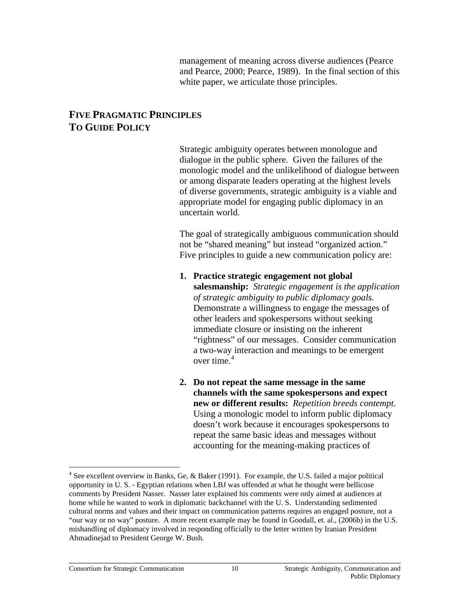management of meaning across diverse audiences (Pearce and Pearce, 2000; Pearce, 1989). In the final section of this white paper, we articulate those principles.

### **FIVE PRAGMATIC PRINCIPLES TO GUIDE POLICY**

Strategic ambiguity operates between monologue and dialogue in the public sphere. Given the failures of the monologic model and the unlikelihood of dialogue between or among disparate leaders operating at the highest levels of diverse governments, strategic ambiguity is a viable and appropriate model for engaging public diplomacy in an uncertain world.

The goal of strategically ambiguous communication should not be "shared meaning" but instead "organized action." Five principles to guide a new communication policy are:

- **1. Practice strategic engagement not global salesmanship:** *Strategic engagement is the application of strategic ambiguity to public diplomacy goals.*  Demonstrate a willingness to engage the messages of other leaders and spokespersons without seeking immediate closure or insisting on the inherent "rightness" of our messages. Consider communication a two-way interaction and meanings to be emergent over time. $4$
- **2. Do not repeat the same message in the same channels with the same spokespersons and expect new or different results:** *Repetition breeds contempt*. Using a monologic model to inform public diplomacy doesn't work because it encourages spokespersons to repeat the same basic ideas and messages without accounting for the meaning-making practices of

<sup>&</sup>lt;sup>4</sup> See excellent overview in Banks, Ge, & Baker (1991). For example, the U.S. failed a major political opportunity in U. S. - Egyptian relations when LBJ was offended at what he thought were bellicose comments by President Nasser. Nasser later explained his comments were only aimed at audiences at home while he wanted to work in diplomatic backchannel with the U. S. Understanding sedimented cultural norms and values and their impact on communication patterns requires an engaged posture, not a "our way or no way" posture. A more recent example may be found in Goodall, et. al., (2006b) in the U.S. mishandling of diplomacy involved in responding officially to the letter written by Iranian President Ahmadinejad to President George W. Bush.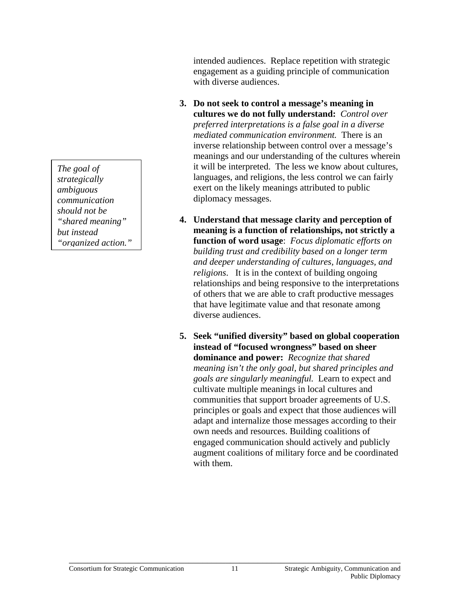*The goal of strategically ambiguous communication should not be "shared meaning" but instead "organized action."*  intended audiences. Replace repetition with strategic engagement as a guiding principle of communication with diverse audiences.

- **3. Do not seek to control a message's meaning in cultures we do not fully understand:** *Control over preferred interpretations is a false goal in a diverse mediated communication environment.* There is an inverse relationship between control over a message's meanings and our understanding of the cultures wherein it will be interpreted. The less we know about cultures, languages, and religions, the less control we can fairly exert on the likely meanings attributed to public diplomacy messages.
- **4. Understand that message clarity and perception of meaning is a function of relationships, not strictly a function of word usage**: *Focus diplomatic efforts on building trust and credibility based on a longer term and deeper understanding of cultures, languages, and religions*. It is in the context of building ongoing relationships and being responsive to the interpretations of others that we are able to craft productive messages that have legitimate value and that resonate among diverse audiences.
- **5. Seek "unified diversity" based on global cooperation instead of "focused wrongness" based on sheer dominance and power:** *Recognize that shared meaning isn't the only goal, but shared principles and goals are singularly meaningful.* Learn to expect and cultivate multiple meanings in local cultures and communities that support broader agreements of U.S. principles or goals and expect that those audiences will adapt and internalize those messages according to their own needs and resources. Building coalitions of engaged communication should actively and publicly augment coalitions of military force and be coordinated with them.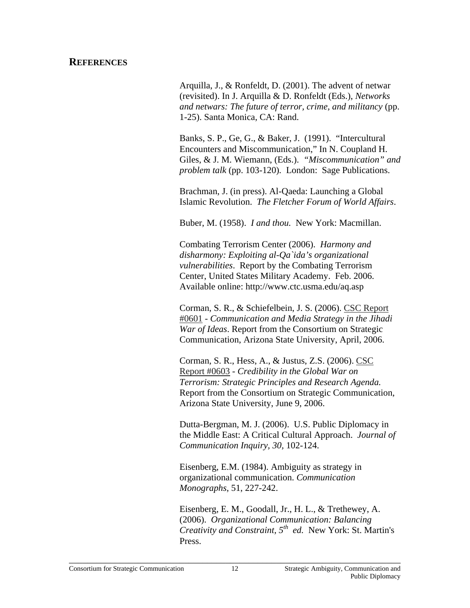#### **REFERENCES**

Arquilla, J., & Ronfeldt, D. (2001). The advent of netwar (revisited). In J. Arquilla & D. Ronfeldt (Eds.), *Networks and netwars: The future of terror, crime, and militancy* (pp. 1-25). Santa Monica, CA: Rand.

Banks, S. P., Ge, G., & Baker, J. (1991). "Intercultural Encounters and Miscommunication," In N. Coupland H. Giles, & J. M. Wiemann, (Eds.). *"Miscommunication" and problem talk* (pp. 103-120)*.* London: Sage Publications.

Brachman, J. (in press). Al-Qaeda: Launching a Global Islamic Revolution. *The Fletcher Forum of World Affairs*.

Buber, M. (1958). *I and thou.* New York: Macmillan.

Combating Terrorism Center (2006). *Harmony and disharmony: Exploiting al-Qa`ida's organizational vulnerabilities*. Report by the Combating Terrorism Center, United States Military Academy. Feb. 2006. Available online: http://www.ctc.usma.edu/aq.asp

Corman, S. R., & Schiefelbein, J. S. (2006). CSC Report #0601 - *Communication and Media Strategy in the Jihadi War of Ideas*. Report from the Consortium on Strategic Communication, Arizona State University, April, 2006.

Corman, S. R., Hess, A., & Justus, Z.S. (2006). CSC Report #0603 - *Credibility in the Global War on Terrorism: Strategic Principles and Research Agenda.*  Report from the Consortium on Strategic Communication, Arizona State University, June 9, 2006.

Dutta-Bergman, M. J. (2006). U.S. Public Diplomacy in the Middle East: A Critical Cultural Approach. *Journal of Communication Inquiry, 30,* 102-124.

Eisenberg, E.M. (1984). Ambiguity as strategy in organizational communication. *Communication Monographs*, 51, 227-242.

Eisenberg, E. M., Goodall, Jr., H. L., & Trethewey, A. (2006). *Organizational Communication: Balancing Creativity and Constraint, 5th ed.* New York: St. Martin's Press.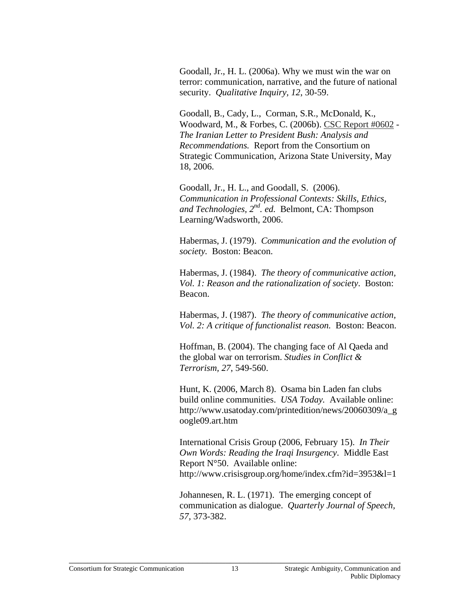Goodall, Jr., H. L. (2006a). Why we must win the war on terror: communication, narrative, and the future of national security. *Qualitative Inquiry, 12*, 30-59.

Goodall, B., Cady, L., Corman, S.R., McDonald, K., Woodward, M., & Forbes, C. (2006b). CSC Report #0602 - *The Iranian Letter to President Bush: Analysis and Recommendations.* Report from the Consortium on Strategic Communication, Arizona State University, May 18, 2006.

Goodall, Jr., H. L., and Goodall, S. (2006). *Communication in Professional Contexts: Skills, Ethics, and Technologies, 2nd. ed.* Belmont, CA: Thompson Learning/Wadsworth, 2006.

Habermas, J. (1979). *Communication and the evolution of society.* Boston: Beacon.

Habermas, J. (1984). *The theory of communicative action, Vol. 1: Reason and the rationalization of society*. Boston: Beacon.

Habermas, J. (1987). *The theory of communicative action, Vol. 2: A critique of functionalist reason.* Boston: Beacon.

Hoffman, B. (2004). The changing face of Al Qaeda and the global war on terrorism. *Studies in Conflict & Terrorism, 27*, 549-560.

Hunt, K. (2006, March 8). Osama bin Laden fan clubs build online communities. *USA Today.* Available online: http://www.usatoday.com/printedition/news/20060309/a\_g oogle09.art.htm

International Crisis Group (2006, February 15). *In Their Own Words: Reading the Iraqi Insurgency*. Middle East Report N°50. Available online: http://www.crisisgroup.org/home/index.cfm?id=3953&l=1

Johannesen, R. L. (1971). The emerging concept of communication as dialogue. *Quarterly Journal of Speech, 57,* 373-382.